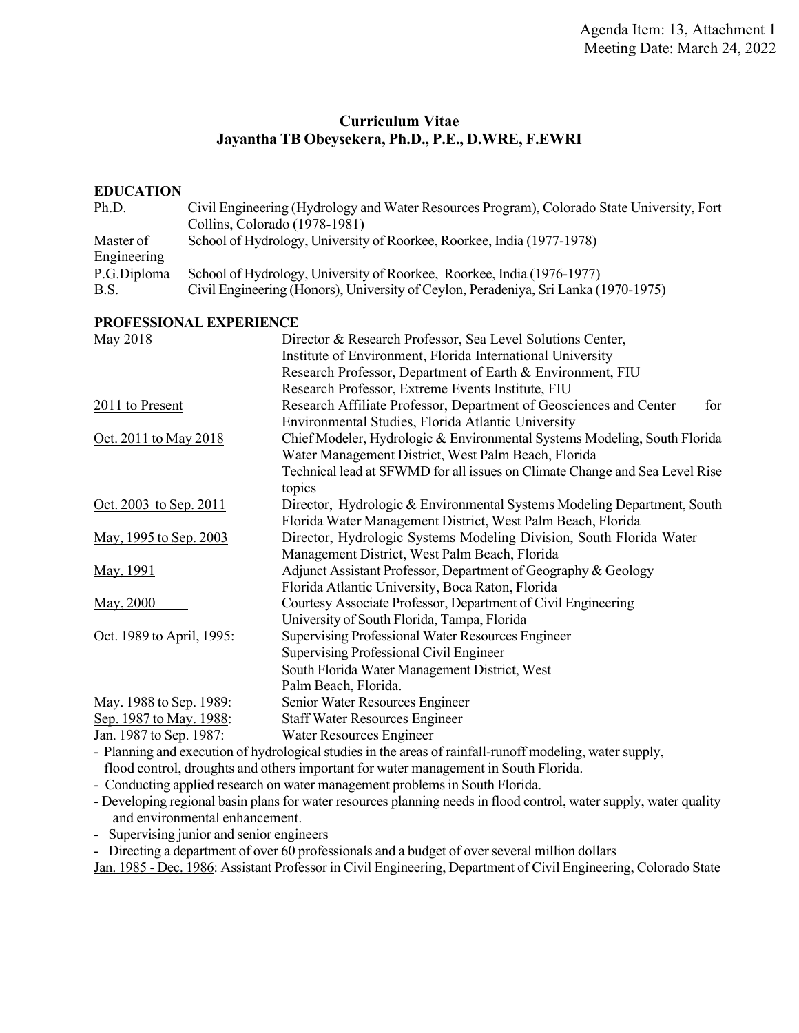# **Curriculum Vitae Jayantha TB Obeysekera, Ph.D., P.E., D.WRE, F.EWRI**

#### **EDUCATION**

| Ph.D.       | Civil Engineering (Hydrology and Water Resources Program), Colorado State University, Fort |
|-------------|--------------------------------------------------------------------------------------------|
|             | Collins, Colorado (1978-1981)                                                              |
| Master of   | School of Hydrology, University of Roorkee, Roorkee, India (1977-1978)                     |
| Engineering |                                                                                            |
| P.G.Diploma | School of Hydrology, University of Roorkee, Roorkee, India (1976-1977)                     |
| B.S.        | Civil Engineering (Honors), University of Ceylon, Peradeniya, Sri Lanka (1970-1975)        |
|             |                                                                                            |

#### **PROFESSIONAL EXPERIENCE**

| May 2018                      | Director & Research Professor, Sea Level Solutions Center,                                               |
|-------------------------------|----------------------------------------------------------------------------------------------------------|
|                               | Institute of Environment, Florida International University                                               |
|                               | Research Professor, Department of Earth & Environment, FIU                                               |
|                               | Research Professor, Extreme Events Institute, FIU                                                        |
| $2011$ to Present             | Research Affiliate Professor, Department of Geosciences and Center<br>for                                |
|                               | Environmental Studies, Florida Atlantic University                                                       |
| Oct. 2011 to May 2018         | Chief Modeler, Hydrologic & Environmental Systems Modeling, South Florida                                |
|                               | Water Management District, West Palm Beach, Florida                                                      |
|                               | Technical lead at SFWMD for all issues on Climate Change and Sea Level Rise                              |
|                               | topics                                                                                                   |
| <u>Oct. 2003 to Sep. 2011</u> | Director, Hydrologic & Environmental Systems Modeling Department, South                                  |
|                               | Florida Water Management District, West Palm Beach, Florida                                              |
| May, 1995 to Sep. 2003        | Director, Hydrologic Systems Modeling Division, South Florida Water                                      |
|                               | Management District, West Palm Beach, Florida                                                            |
| May, 1991                     | Adjunct Assistant Professor, Department of Geography & Geology                                           |
|                               | Florida Atlantic University, Boca Raton, Florida                                                         |
| May, 2000                     | Courtesy Associate Professor, Department of Civil Engineering                                            |
|                               | University of South Florida, Tampa, Florida                                                              |
| Oct. 1989 to April, 1995:     | Supervising Professional Water Resources Engineer                                                        |
|                               | <b>Supervising Professional Civil Engineer</b>                                                           |
|                               | South Florida Water Management District, West                                                            |
|                               | Palm Beach, Florida.                                                                                     |
| May. 1988 to Sep. 1989:       | Senior Water Resources Engineer                                                                          |
| Sep. 1987 to May. 1988:       | <b>Staff Water Resources Engineer</b>                                                                    |
| Jan. 1987 to Sep. 1987:       | Water Resources Engineer                                                                                 |
|                               | - Planning and execution of hydrological studies in the areas of rainfall-runoff modeling, water supply, |

flood control, droughts and others important for water management in South Florida.

- Conducting applied research on water management problems in South Florida.

- Developing regional basin plans for water resources planning needs in flood control, water supply, water quality and environmental enhancement.

- Supervising junior and senior engineers

- Directing a department of over 60 professionals and a budget of over several million dollars

Jan. 1985 - Dec. 1986: Assistant Professor in Civil Engineering, Department of Civil Engineering, Colorado State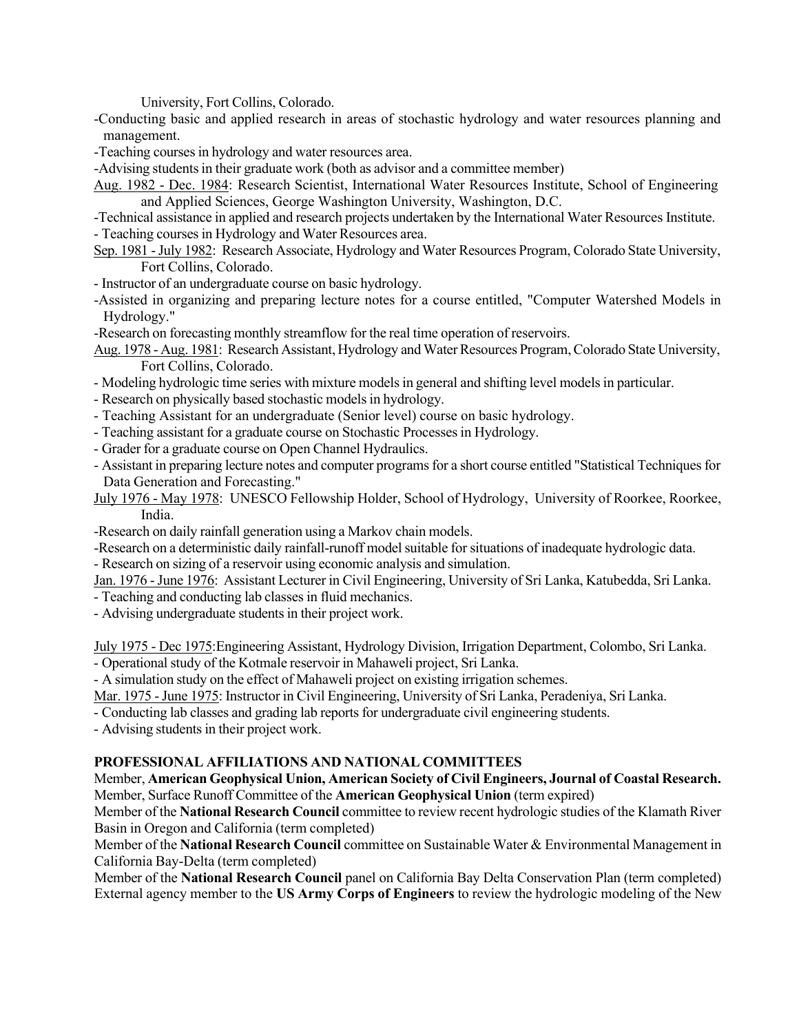University, Fort Collins, Colorado.

-Conducting basic and applied research in areas of stochastic hydrology and water resources planning and management.

-Teaching courses in hydrology and water resources area.

-Advising students in their graduate work (both as advisor and a committee member)

Aug. 1982 - Dec. 1984: Research Scientist, International Water Resources Institute, School of Engineering and Applied Sciences, George Washington University, Washington, D.C.

-Technical assistance in applied and research projects undertaken by the International Water Resources Institute. - Teaching courses in Hydrology and Water Resources area.

Sep. 1981 -July 1982: Research Associate, Hydrology and Water Resources Program, Colorado State University, Fort Collins, Colorado.

- Instructor of an undergraduate course on basic hydrology.

-Assisted in organizing and preparing lecture notes for a course entitled, "Computer Watershed Models in Hydrology."

-Research on forecasting monthly streamflow for the real time operation of reservoirs.

Aug. 1978 - Aug. 1981: Research Assistant, Hydrology and Water Resources Program, Colorado State University, Fort Collins, Colorado.

- Modeling hydrologic time series with mixture models in general and shifting level models in particular.

- Research on physically based stochastic models in hydrology.

- Teaching Assistant for an undergraduate (Senior level) course on basic hydrology.

- Teaching assistant for a graduate course on Stochastic Processes in Hydrology.

- Grader for a graduate course on Open Channel Hydraulics.

- Assistant in preparing lecture notes and computer programs for a short course entitled "Statistical Techniques for Data Generation and Forecasting."

July 1976 - May 1978: UNESCO Fellowship Holder, School of Hydrology, University of Roorkee, Roorkee, India.

-Research on daily rainfall generation using a Markov chain models.

-Research on a deterministic daily rainfall-runoff model suitable for situations of inadequate hydrologic data.

- Research on sizing of a reservoir using economic analysis and simulation.

Jan. 1976 - June 1976: Assistant Lecturer in Civil Engineering, University of Sri Lanka, Katubedda, Sri Lanka.

- Teaching and conducting lab classes in fluid mechanics.

- Advising undergraduate students in their project work.

July 1975 - Dec 1975:Engineering Assistant, Hydrology Division, Irrigation Department, Colombo, Sri Lanka. - Operational study of the Kotmale reservoir in Mahaweli project, Sri Lanka.

- A simulation study on the effect of Mahaweli project on existing irrigation schemes.

Mar. 1975 - June 1975: Instructor in Civil Engineering, University of Sri Lanka, Peradeniya, Sri Lanka.

- Conducting lab classes and grading lab reports for undergraduate civil engineering students.

- Advising students in their project work.

### **PROFESSIONAL AFFILIATIONS AND NATIONAL COMMITTEES**

 Member, **American Geophysical Union, American Society of Civil Engineers, Journal of Coastal Research.**  Member, Surface Runoff Committee of the **American Geophysical Union** (term expired)

 Member of the **National Research Council** committee to review recent hydrologic studies of the Klamath River Basin in Oregon and California (term completed)

 Member of the **National Research Council** committee on Sustainable Water & Environmental Management in California Bay-Delta (term completed)

 External agency member to the **US Army Corps of Engineers** to review the hydrologic modeling of the New Member of the **National Research Council** panel on California Bay Delta Conservation Plan (term completed)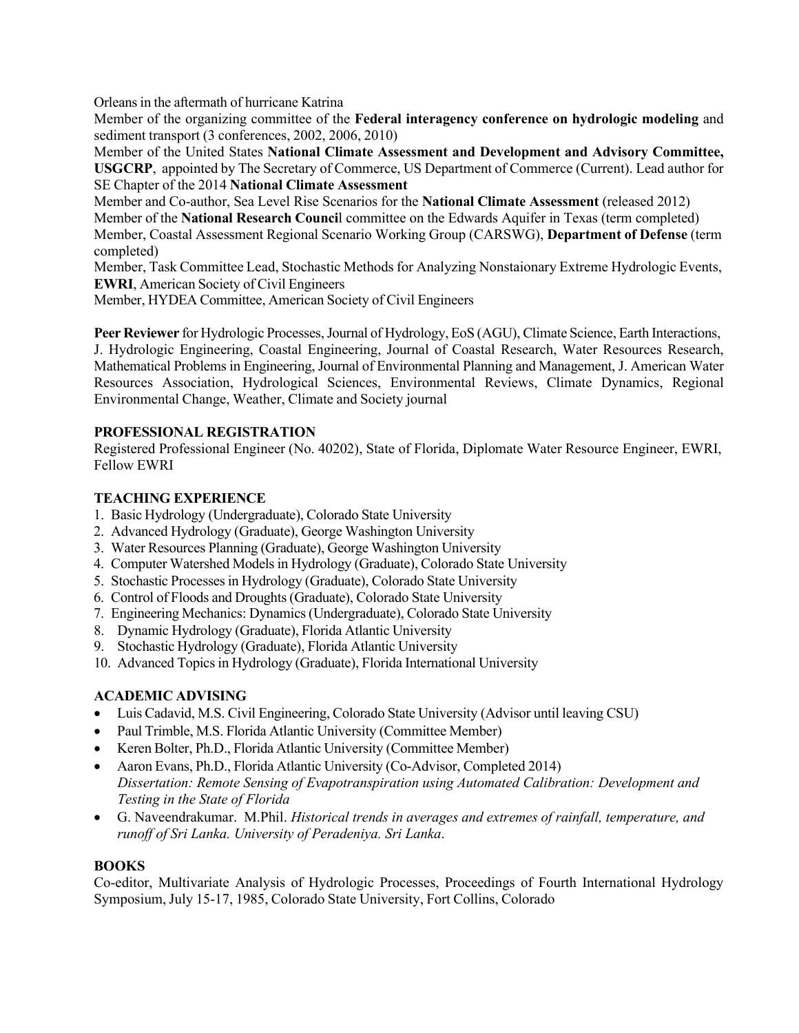Orleans in the aftermath of hurricane Katrina

 sediment transport (3 conferences, 2002, 2006, 2010) Member of the organizing committee of the **Federal interagency conference on hydrologic modeling** and

 **USGCRP**, appointed by The Secretary of Commerce, US Department of Commerce (Current). Lead author for SE Chapter of the 2014 **National Climate Assessment**  Member of the United States **National Climate Assessment and Development and Advisory Committee,** 

 Member, Coastal Assessment Regional Scenario Working Group (CARSWG), **Department of Defense** (term Member and Co-author, Sea Level Rise Scenarios for the **National Climate Assessment** (released 2012) Member of the **National Research Counci**l committee on the Edwards Aquifer in Texas (term completed) completed)

 Member, Task Committee Lead, Stochastic Methods for Analyzing Nonstaionary Extreme Hydrologic Events, **EWRI**, American Society of Civil Engineers

Member, HYDEA Committee, American Society of Civil Engineers

 **Peer Reviewer** for Hydrologic Processes, Journal of Hydrology, EoS (AGU), Climate Science, Earth Interactions, Mathematical Problems in Engineering, Journal of Environmental Planning and Management, J. American Water Resources Association, Hydrological Sciences, Environmental Reviews, Climate Dynamics, Regional Environmental Change, Weather, Climate and Society journal J. Hydrologic Engineering, Coastal Engineering, Journal of Coastal Research, Water Resources Research,

## **PROFESSIONAL REGISTRATION**

 Fellow EWRI Registered Professional Engineer (No. 40202), State of Florida, Diplomate Water Resource Engineer, EWRI,

### **TEACHING EXPERIENCE**

- 1. Basic Hydrology (Undergraduate), Colorado State University
- 2. Advanced Hydrology (Graduate), George Washington University
- 3. Water Resources Planning (Graduate), George Washington University
- 4. Computer Watershed Models in Hydrology (Graduate), Colorado State University
- 5. Stochastic Processes in Hydrology (Graduate), Colorado State University
- 6. Control of Floods and Droughts (Graduate), Colorado State University
- 7. Engineering Mechanics: Dynamics (Undergraduate), Colorado State University
- 8. Dynamic Hydrology (Graduate), Florida Atlantic University
- 9. Stochastic Hydrology (Graduate), Florida Atlantic University
- 10. Advanced Topics in Hydrology (Graduate), Florida International University

# **ACADEMIC ADVISING**

- Luis Cadavid, M.S. Civil Engineering, Colorado State University (Advisor until leaving CSU)
- Paul Trimble, M.S. Florida Atlantic University (Committee Member)
- Keren Bolter, Ph.D., Florida Atlantic University (Committee Member)
- • Aaron Evans, Ph.D., Florida Atlantic University (Co-Advisor, Completed 2014)  *Dissertation: Remote Sensing of Evapotranspiration using Automated Calibration: Development and Testing in the State of Florida*
- • G. Naveendrakumar. M.Phil. *Historical trends in averages and extremes of rainfall, temperature, and runoff of Sri Lanka. University of Peradeniya. Sri Lanka*.

## **BOOKS**

 Symposium, July 15-17, 1985, Colorado State University, Fort Collins, Colorado Co-editor, Multivariate Analysis of Hydrologic Processes, Proceedings of Fourth International Hydrology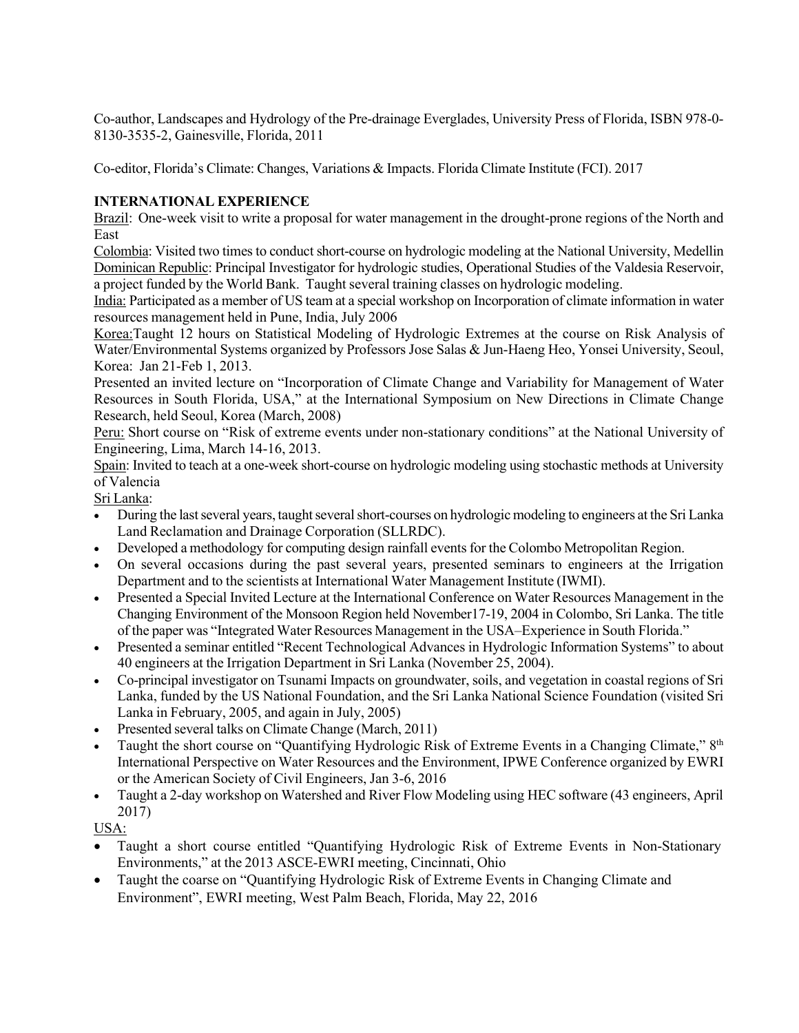Co-author, Landscapes and Hydrology of the Pre-drainage Everglades, University Press of Florida, ISBN 978-0- 8130-3535-2, Gainesville, Florida, 2011

Co-editor, Florida's Climate: Changes, Variations & Impacts. Florida Climate Institute (FCI). 2017

### **INTERNATIONAL EXPERIENCE**

Brazil: One-week visit to write a proposal for water management in the drought-prone regions of the North and East

Colombia: Visited two times to conduct short-course on hydrologic modeling at the National University, Medellin Dominican Republic: Principal Investigator for hydrologic studies, Operational Studies of the Valdesia Reservoir, a project funded by the World Bank. Taught several training classes on hydrologic modeling.

 India: Participated as a member of US team at a special workshop on Incorporation of climate information in water resources management held in Pune, India, July 2006

 Water/Environmental Systems organized by Professors Jose Salas & Jun-Haeng Heo, Yonsei University, Seoul, Korea: Jan 21-Feb 1, 2013. Korea:Taught 12 hours on Statistical Modeling of Hydrologic Extremes at the course on Risk Analysis of

 Presented an invited lecture on "Incorporation of Climate Change and Variability for Management of Water Research, held Seoul, Korea (March, 2008) Resources in South Florida, USA," at the International Symposium on New Directions in Climate Change

 Engineering, Lima, March 14-16, 2013. Peru: Short course on "Risk of extreme events under non-stationary conditions" at the National University of

Spain: Invited to teach at a one-week short-course on hydrologic modeling using stochastic methods at University of Valencia

Sri Lanka:

- • During the last several years, taught several short-courses on hydrologic modeling to engineers at the Sri Lanka Land Reclamation and Drainage Corporation (SLLRDC).
- Developed a methodology for computing design rainfall events for the Colombo Metropolitan Region.
- Department and to the scientists at International Water Management Institute (IWMI). • On several occasions during the past several years, presented seminars to engineers at the Irrigation
- • Presented a Special Invited Lecture at the International Conference on Water Resources Management in the Changing Environment of the Monsoon Region held November17-19, 2004 in Colombo, Sri Lanka. The title of the paper was "Integrated Water Resources Management in the USA–Experience in South Florida."
- • Presented a seminar entitled "Recent Technological Advances in Hydrologic Information Systems" to about 40 engineers at the Irrigation Department in Sri Lanka (November 25, 2004).
- • Co-principal investigator on Tsunami Impacts on groundwater, soils, and vegetation in coastal regions of Sri Lanka, funded by the US National Foundation, and the Sri Lanka National Science Foundation (visited Sri Lanka in February, 2005, and again in July, 2005)
- Presented several talks on Climate Change (March, 2011)
- International Perspective on Water Resources and the Environment, IPWE Conference organized by EWRI or the American Society of Civil Engineers, Jan 3-6, 2016 Taught the short course on "Quantifying Hydrologic Risk of Extreme Events in a Changing Climate," 8th
- • Taught a 2-day workshop on Watershed and River Flow Modeling using HEC software (43 engineers, April 2017)

USA:

- • Taught a short course entitled "Quantifying Hydrologic Risk of Extreme Events in Non-Stationary Environments," at the 2013 ASCE-EWRI meeting, Cincinnati, Ohio
- • Taught the coarse on "Quantifying Hydrologic Risk of Extreme Events in Changing Climate and Environment", EWRI meeting, West Palm Beach, Florida, May 22, 2016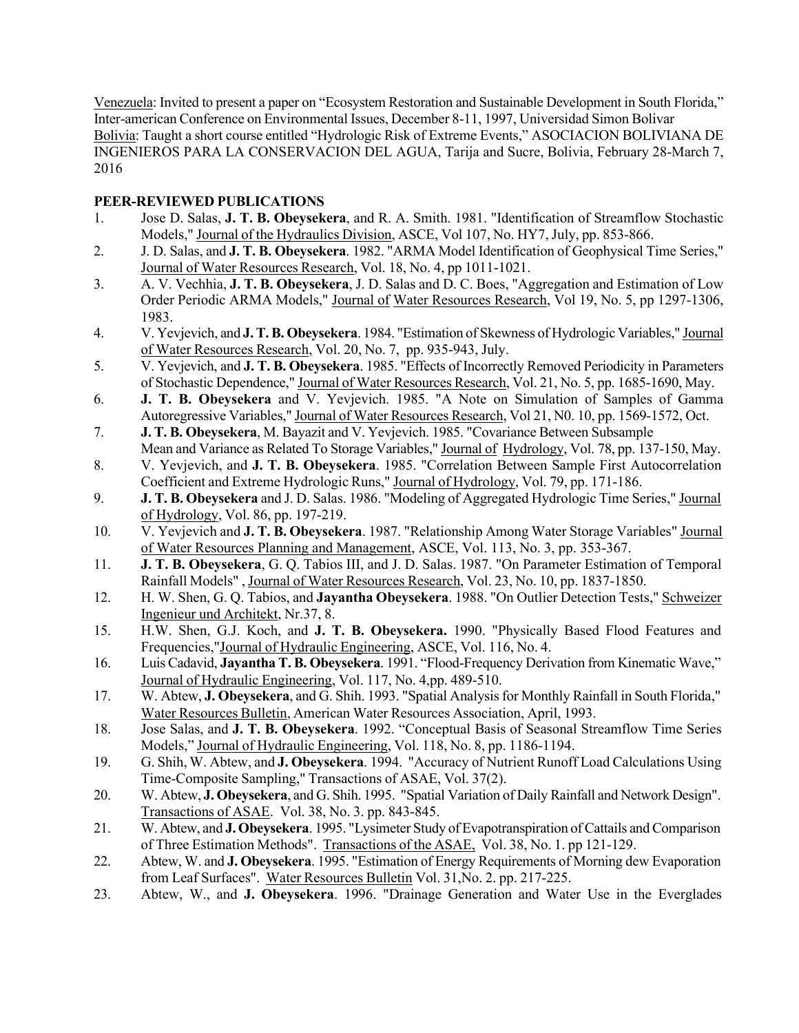Venezuela: Invited to present a paper on "Ecosystem Restoration and Sustainable Development in South Florida," Inter-american Conference on Environmental Issues, December 8-11, 1997, Universidad Simon Bolivar Bolivia: Taught a short course entitled "Hydrologic Risk of Extreme Events," ASOCIACION BOLIVIANA DE INGENIEROS PARA LA CONSERVACION DEL AGUA, Tarija and Sucre, Bolivia, February 28-March 7, 2016

# **PEER-REVIEWED PUBLICATIONS**

- Models," Journal of the Hydraulics Division, ASCE, Vol 107, No. HY7, July, pp. 853-866. 1. Jose D. Salas, **J. T. B. Obeysekera**, and R. A. Smith. 1981. "Identification of Streamflow Stochastic
- 2. J. D. Salas, and **J. T. B. Obeysekera**. 1982. "ARMA Model Identification of Geophysical Time Series," Journal of Water Resources Research, Vol. 18, No. 4, pp 1011-1021.
- 3. A. V. Vechhia, **J. T. B. Obeysekera**, J. D. Salas and D. C. Boes, "Aggregation and Estimation of Low Order Periodic ARMA Models," Journal of Water Resources Research, Vol 19, No. 5, pp 1297-1306, 1983.
- 4. V. Yevjevich, and **J. T. B. Obeysekera**. 1984. "Estimation of Skewness of Hydrologic Variables," Journal of Water Resources Research, Vol. 20, No. 7, pp. 935-943, July.
- 5. V. Yevjevich, and **J. T. B. Obeysekera**. 1985. "Effects of Incorrectly Removed Periodicity in Parameters of Stochastic Dependence," Journal of Water Resources Research, Vol. 21, No. 5, pp. 1685-1690, May.
- Autoregressive Variables," Journal of Water Resources Research, Vol 21, N0. 10, pp. 1569-1572, Oct. 6. **J. T. B. Obeysekera** and V. Yevjevich. 1985. "A Note on Simulation of Samples of Gamma
- 7. **J. T. B. Obeysekera**, M. Bayazit and V. Yevjevich. 1985. "Covariance Between Subsample Mean and Variance as Related To Storage Variables," Journal of Hydrology, Vol. 78, pp. 137-150, May.
- 8. V. Yevjevich, and **J. T. B. Obeysekera**. 1985. "Correlation Between Sample First Autocorrelation Coefficient and Extreme Hydrologic Runs," Journal of Hydrology, Vol. 79, pp. 171-186.
- 9. **J. T. B. Obeysekera** and J. D. Salas. 1986. "Modeling of Aggregated Hydrologic Time Series," Journal of Hydrology, Vol. 86, pp. 197-219.
- 10. V. Yevjevich and **J. T. B. Obeysekera**. 1987. "Relationship Among Water Storage Variables" Journal of Water Resources Planning and Management, ASCE, Vol. 113, No. 3, pp. 353-367.
- Rainfall Models" , Journal of Water Resources Research, Vol. 23, No. 10, pp. 1837-1850. 11. **J. T. B. Obeysekera**, G. Q. Tabios III, and J. D. Salas. 1987. "On Parameter Estimation of Temporal
- 12. H. W. Shen, G. Q. Tabios, and **Jayantha Obeysekera**. 1988. "On Outlier Detection Tests," Schweizer Ingenieur und Architekt, Nr.37, 8.
- 15. H.W. Shen, G.J. Koch, and **J. T. B. Obeysekera.** 1990. "Physically Based Flood Features and Frequencies," Journal of Hydraulic Engineering, ASCE, Vol. 116, No. 4.
- 16. Luis Cadavid, **Jayantha T. B. Obeysekera**. 1991. "Flood-Frequency Derivation from Kinematic Wave," Journal of Hydraulic Engineering, Vol. 117, No. 4,pp. 489-510.
- 17. W. Abtew, **J. Obeysekera**, and G. Shih. 1993. "Spatial Analysis for Monthly Rainfall in South Florida," Water Resources Bulletin, American Water Resources Association, April, 1993.
- 18. Jose Salas, and **J. T. B. Obeysekera**. 1992. "Conceptual Basis of Seasonal Streamflow Time Series Models," Journal of Hydraulic Engineering, Vol. 118, No. 8, pp. 1186-1194.
- 19. G. Shih, W. Abtew, and **J. Obeysekera**. 1994. "Accuracy of Nutrient Runoff Load Calculations Using Time-Composite Sampling," Transactions of ASAE, Vol. 37(2).
- 20. W. Abtew, **J. Obeysekera**, and G. Shih. 1995. "Spatial Variation of Daily Rainfall and Network Design". Transactions of ASAE. Vol. 38, No. 3. pp. 843-845.
- 21. W. Abtew, and **J. Obeysekera**. 1995. "Lysimeter Study of Evapotranspiration of Cattails and Comparison of Three Estimation Methods". Transactions of the ASAE, Vol. 38, No. 1. pp 121-129.
- 22. Abtew, W. and **J. Obeysekera**. 1995. "Estimation of Energy Requirements of Morning dew Evaporation from Leaf Surfaces". Water Resources Bulletin Vol. 31, No. 2. pp. 217-225.
- 23. Abtew, W., and **J. Obeysekera**. 1996. "Drainage Generation and Water Use in the Everglades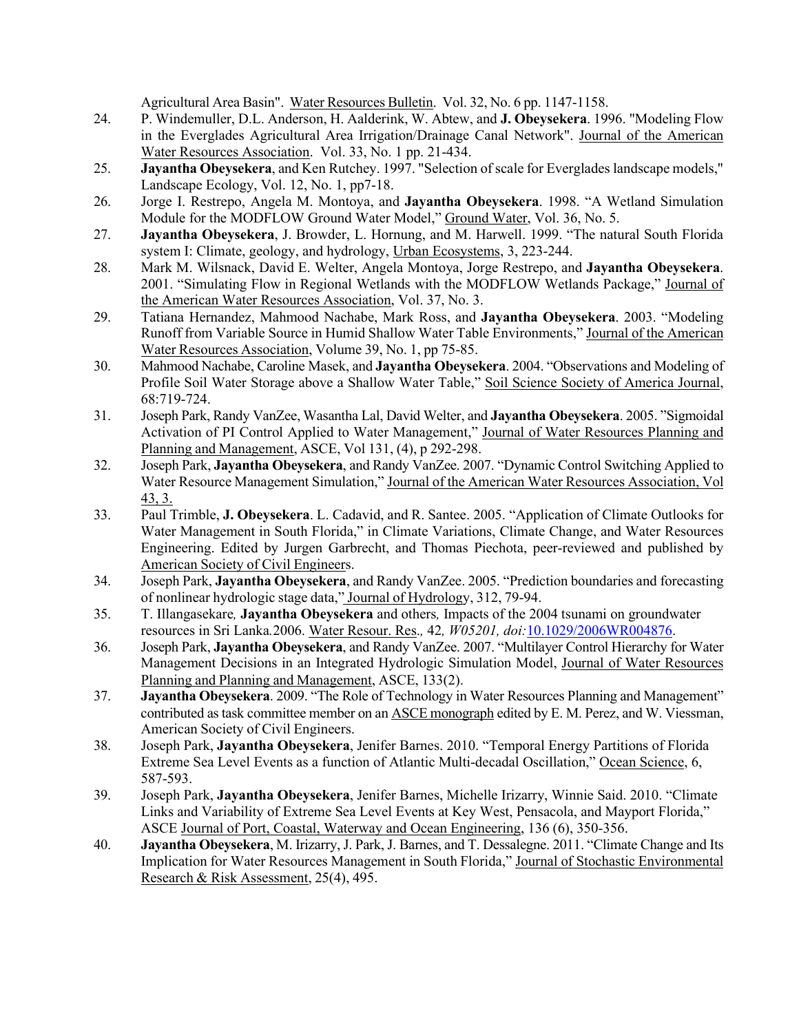Agricultural Area Basin". Water Resources Bulletin. Vol. 32, No. 6 pp. 1147-1158.

- 24. P. Windemuller, D.L. Anderson, H. Aalderink, W. Abtew, and **J. Obeysekera**. 1996. "Modeling Flow Water Resources Association. Vol. 33, No. 1 pp. 21-434. in the Everglades Agricultural Area Irrigation/Drainage Canal Network". Journal of the American
- 25. **Jayantha Obeysekera**, and Ken Rutchey. 1997. "Selection of scale for Everglades landscape models," Landscape Ecology, Vol. 12, No. 1, pp7-18.
- 26. Jorge I. Restrepo, Angela M. Montoya, and **Jayantha Obeysekera**. 1998. "A Wetland Simulation Module for the MODFLOW Ground Water Model," **Ground Water**, Vol. 36, No. 5.
- 27. **Jayantha Obeysekera**, J. Browder, L. Hornung, and M. Harwell. 1999. "The natural South Florida system I: Climate, geology, and hydrology, Urban Ecosystems, 3, 223-244.
- 2001. "Simulating Flow in Regional Wetlands with the MODFLOW Wetlands Package," Journal of the American Water Resources Association, Vol. 37, No. 3. 28. Mark M. Wilsnack, David E. Welter, Angela Montoya, Jorge Restrepo, and **Jayantha Obeysekera**.
- Runoff from Variable Source in Humid Shallow Water Table Environments," Journal of the American Water Resources Association, Volume 39, No. 1, pp 75-85. 29. Tatiana Hernandez, Mahmood Nachabe, Mark Ross, and **Jayantha Obeysekera**. 2003. "Modeling
- 30. Mahmood Nachabe, Caroline Masek, and **Jayantha Obeysekera**. 2004. "Observations and Modeling of Profile Soil Water Storage above a Shallow Water Table," Soil Science Society of America Journal, 68:719-724.
- 31. Joseph Park, Randy VanZee, Wasantha Lal, David Welter, and **Jayantha Obeysekera**. 2005. "Sigmoidal Planning and Management, ASCE, Vol 131, (4), p 292-298. Activation of PI Control Applied to Water Management," Journal of Water Resources Planning and
- 32. Joseph Park, **Jayantha Obeysekera**, and Randy VanZee. 2007. "Dynamic Control Switching Applied to Water Resource Management Simulation," Journal of the American Water Resources Association, Vol 43, 3.
- 33. Paul Trimble, **J. Obeysekera**. L. Cadavid, and R. Santee. 2005. "Application of Climate Outlooks for American Society of Civil Engineers. Water Management in South Florida," in Climate Variations, Climate Change, and Water Resources Engineering. Edited by Jurgen Garbrecht, and Thomas Piechota, peer-reviewed and published by
- 34. Joseph Park, **Jayantha Obeysekera**, and Randy VanZee. 2005. "Prediction boundaries and forecasting of nonlinear hydrologic stage data," Journal of Hydrology, 312, 79-94.
- resources in Sri Lanka*.*2006. Water Resour. Res.*,* 42*, W05201, doi:*[10.1029/2006WR004876.](http://dx.doi.org/10.1029/2006WR004876)  35. T. Illangasekare*,* **Jayantha Obeysekera** and others*,* Impacts of the 2004 tsunami on groundwater
- 36. Joseph Park, **Jayantha Obeysekera**, and Randy VanZee. 2007. "Multilayer Control Hierarchy for Water Planning and Planning and Management, ASCE, 133(2). Management Decisions in an Integrated Hydrologic Simulation Model, Journal of Water Resources
- 37. **Jayantha Obeysekera**. 2009. "The Role of Technology in Water Resources Planning and Management" contributed as task committee member on an **ASCE** monograph edited by E. M. Perez, and W. Viessman, American Society of Civil Engineers.
- 38. Joseph Park, **Jayantha Obeysekera**, Jenifer Barnes. 2010. "Temporal Energy Partitions of Florida Extreme Sea Level Events as a function of Atlantic Multi-decadal Oscillation," Ocean Science, 6, 587-593.
- ASCE Journal of Port, Coastal, Waterway and Ocean Engineering, 136 (6), 350-356. 39. Joseph Park, **Jayantha Obeysekera**, Jenifer Barnes, Michelle Irizarry, Winnie Said. 2010. "Climate Links and Variability of Extreme Sea Level Events at Key West, Pensacola, and Mayport Florida,"
- 40. **Jayantha Obeysekera**, M. Irizarry, J. Park, J. Barnes, and T. Dessalegne. 2011. "Climate Change and Its Implication for Water Resources Management in South Florida," Journal of Stochastic Environmental Research & Risk Assessment, 25(4), 495.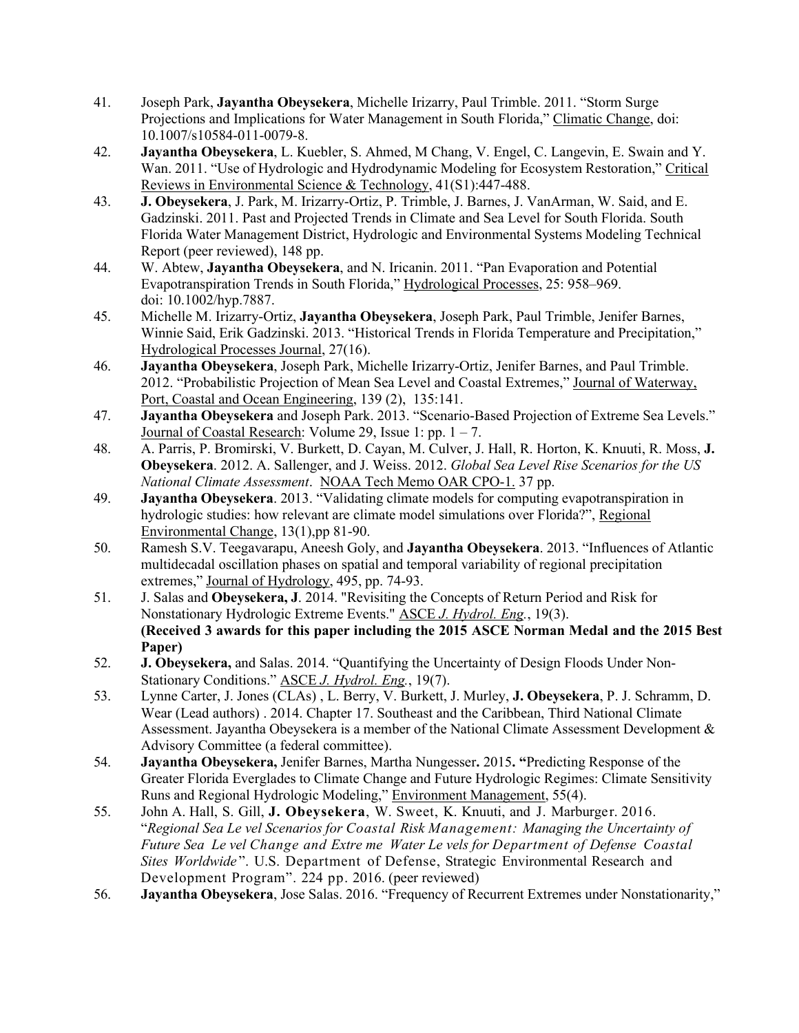- 41. Joseph Park, **Jayantha Obeysekera**, Michelle Irizarry, Paul Trimble. 2011. "Storm Surge Projections and Implications for Water Management in South Florida," Climatic Change, doi: 10.1007/s10584-011-0079-8.
- Wan. 2011. "Use of Hydrologic and Hydrodynamic Modeling for Ecosystem Restoration," Critical Reviews in Environmental Science & Technology, 41(S1):447-488. 42. **Jayantha Obeysekera**, L. Kuebler, S. Ahmed, M Chang, V. Engel, C. Langevin, E. Swain and Y.
- Florida Water Management District, Hydrologic and Environmental Systems Modeling Technical 43. **J. Obeysekera**, J. Park, M. Irizarry-Ortiz, P. Trimble, J. Barnes, J. VanArman, W. Said, and E. Gadzinski. 2011. Past and Projected Trends in Climate and Sea Level for South Florida. South Report (peer reviewed), 148 pp.
- Evapotranspiration Trends in South Florida," Hydrological Processes, 25: 958–969. 44. W. Abtew, **Jayantha Obeysekera**, and N. Iricanin. 2011. "Pan Evaporation and Potential doi: 10.1002/hyp.7887.
- Winnie Said, Erik Gadzinski. 2013. "Historical Trends in Florida Temperature and Precipitation," 45. Michelle M. Irizarry-Ortiz, **Jayantha Obeysekera**, Joseph Park, Paul Trimble, Jenifer Barnes, Hydrological Processes Journal, 27(16).
- Port, Coastal and Ocean Engineering, 139 (2), 135:141. 46. **Jayantha Obeysekera**, Joseph Park, Michelle Irizarry-Ortiz, Jenifer Barnes, and Paul Trimble. 2012. "Probabilistic Projection of Mean Sea Level and Coastal Extremes," Journal of Waterway,
- 47. **Jayantha Obeysekera** and Joseph Park. 2013. "Scenario-Based Projection of Extreme Sea Levels." Journal of Coastal Research: Volume 29, Issue 1: pp. 1 – 7.
- *National Climate Assessment*. NOAA Tech Memo OAR CPO-1. 37 pp. 48. A. Parris, P. Bromirski, V. Burkett, D. Cayan, M. Culver, J. Hall, R. Horton, K. Knuuti, R. Moss, **J. Obeysekera**. 2012. A. Sallenger, and J. Weiss. 2012. *Global Sea Level Rise Scenarios for the US*
- 49. **Jayantha Obeysekera**. 2013. "Validating climate models for computing evapotranspiration in hydrologic studies: how relevant are climate model simulations over Florida?", Regional Environmental Change, 13(1),pp 81-90.
- 50. Ramesh S.V. Teegavarapu, Aneesh Goly, and **Jayantha Obeysekera**. 2013. "Influences of Atlantic multidecadal oscillation phases on spatial and temporal variability of regional precipitation extremes," Journal of Hydrology, 495, pp. 74-93.
- 51. J. Salas and **Obeysekera, J**. 2014. "Revisiting the Concepts of Return Period and Risk for Nonstationary Hydrologic Extreme Events." ASCE *J. Hydrol. Eng.*, 19(3).  **(Received 3 awards for this paper including the 2015 ASCE Norman Medal and the 2015 Best Paper)**
- 52. **J. Obeysekera,** and Salas. 2014. "Quantifying the Uncertainty of Design Floods Under Non-Stationary Conditions." ASCE *J. Hydrol. Eng.*, 19(7).
- Assessment. Jayantha Obeysekera is a member of the National Climate Assessment Development & Advisory Committee (a federal committee). 53. Lynne Carter, J. Jones (CLAs) , L. Berry, V. Burkett, J. Murley, **J. Obeysekera**, P. J. Schramm, D. Wear (Lead authors) . 2014. Chapter 17. Southeast and the Caribbean, Third National Climate
- Greater Florida Everglades to Climate Change and Future Hydrologic Regimes: Climate Sensitivity Runs and Regional Hydrologic Modeling," Environment Management, 55(4). 54. **Jayantha Obeysekera,** Jenifer Barnes, Martha Nungesser**.** 2015**. "**Predicting Response of the
- 55. John A. Hall, S. Gill, **J. Obeysekera**, W. Sweet, K. Knuuti, and J. Marburger. 2016.  "*Regional Sea Le vel Scenarios for Coastal Risk Management: Managing the Uncertainty of Future Sea Le vel Change and Extre me Water Le vels for Department of Defense Coastal*  Sites Worldwide". U.S. Department of Defense, Strategic Environmental Research and Development Program". 224 pp. 2016. (peer reviewed)
- 56. **Jayantha Obeysekera**, Jose Salas. 2016. "Frequency of Recurrent Extremes under Nonstationarity,"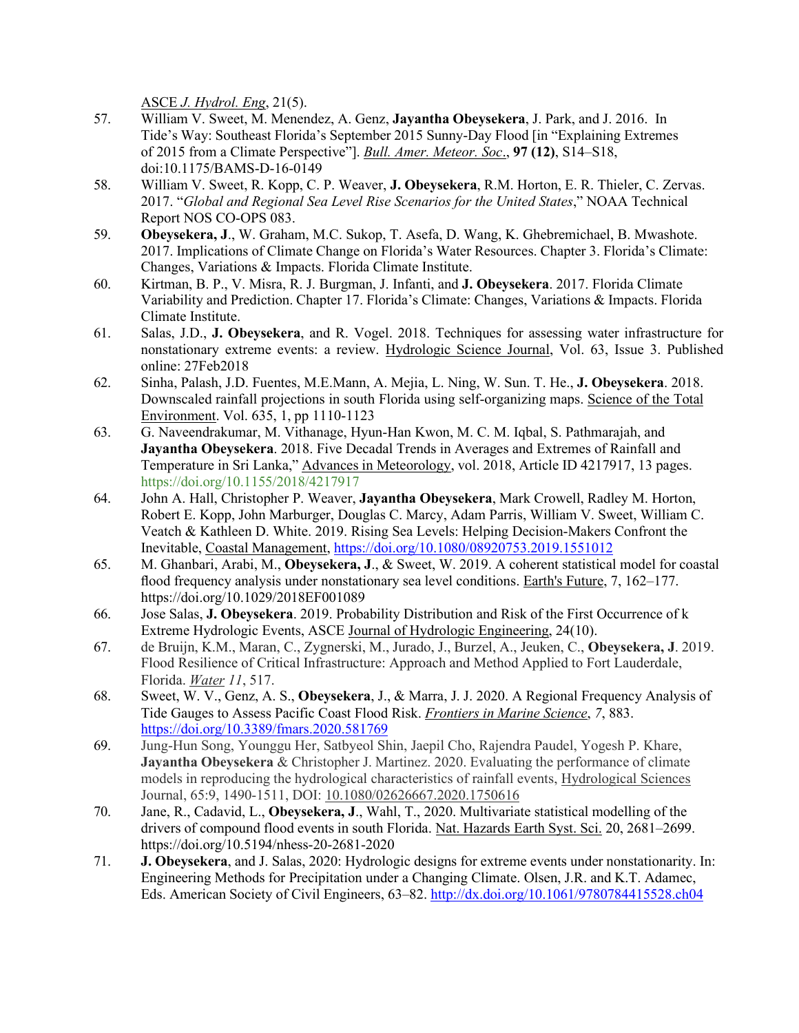**ASCE** *J. Hydrol. Eng,* 21(5).

- 57. William V. Sweet, M. Menendez, A. Genz, **Jayantha Obeysekera**, J. Park, and J. 2016. In Tide's Way: Southeast Florida's September 2015 Sunny-Day Flood [in "Explaining Extremes ASCE *J. Hydrol. Eng*, 21(5).<br>William V. Sweet, M. Menendez, A. Genz, **Jaya**<br>Tide's Way: Southeast Florida's September 2015<br>of 2015 from a Climate Perspective"]. <u>Bull. Amer</u><br>of 2015 from a Climate Perspective"]. <u>Bull. Am</u> of 2015 from a Climate Perspective"]. *Bull. Amer. Meteor. Soc*., **97 (12)**, S14–S18, doi:10.1175/BAMS-D-16-0149
- 58. William V. Sweet, R. Kopp, C. P. Weaver, **J. Obeysekera**, R.M. Horton, E. R. Thieler, C. Zervas. 2017. "*Global and Regional Sea Level Rise Scenarios for the United States*," NOAA Technical Report NOS CO-OPS 083.
- 2017. Implications of Climate Change on Florida's Water Resources. Chapter 3. Florida's Climate: Changes, Variations & Impacts. Florida Climate Institute. 59. **Obeysekera, J**., W. Graham, M.C. Sukop, T. Asefa, D. Wang, K. Ghebremichael, B. Mwashote.
- Variability and Prediction. Chapter 17. Florida's Climate: Changes, Variations & Impacts. Florida Climate Institute. 60. Kirtman, B. P., V. Misra, R. J. Burgman, J. Infanti, and **J. Obeysekera**. 2017. Florida Climate
- 61. Salas, J.D., **J. Obeysekera**, and R. Vogel. 2018. Techniques for assessing water infrastructure for online: 27Feb2018 nonstationary extreme events: a review. Hydrologic Science Journal, Vol. 63, Issue 3. Published
- 62. Sinha, Palash, J.D. Fuentes, M.E.Mann, A. Mejia, L. Ning, W. Sun. T. He., **J. Obeysekera**. 2018. Downscaled rainfall projections in south Florida using self-organizing maps. Science of the Total Environment. Vol. 635, 1, pp 1110-1123
- Temperature in Sri Lanka," Advances in Meteorology, vol. 2018, Article ID 4217917, 13 pages. 63. G. Naveendrakumar, M. Vithanage, Hyun-Han Kwon, M. C. M. Iqbal, S. Pathmarajah, and **Jayantha Obeysekera**. 2018. Five Decadal Trends in Averages and Extremes of Rainfall and <https://doi.org/10.1155/2018/4217917>
- 64. John A. Hall, Christopher P. Weaver, **Jayantha Obeysekera**, Mark Crowell, Radley M. Horton, Robert E. Kopp, John Marburger, Douglas C. Marcy, Adam Parris, William V. Sweet, William C. Veatch & Kathleen D. White. 2019. Rising Sea Levels: Helping Decision-Makers Confront the Inevitable, Coastal Management,<https://doi.org/10.1080/08920753.2019.1551012>
- 65. M. Ghanbari, Arabi, M., **Obeysekera, J**., & Sweet, W. 2019. A coherent statistical model for coastal flood frequency analysis under nonstationary sea level conditions. Earth's Future, 7, 162–177. <https://doi.org/10.1029/2018EF001089>
- 66. Jose Salas, **J. Obeysekera**. 2019. Probability Distribution and Risk of the First Occurrence of k Extreme Hydrologic Events, ASCE Journal of Hydrologic Engineering, 24(10).
- 67. de Bruijn, K.M., Maran, C., Zygnerski, M., Jurado, J., Burzel, A., Jeuken, C., **Obeysekera, J**. 2019. Flood Resilience of Critical Infrastructure: Approach and Method Applied to Fort Lauderdale, Florida. *Water 11*, 517.
- 68. Sweet, W. V., Genz, A. S., **Obeysekera**, J., & Marra, J. J. 2020. A Regional Frequency Analysis of Tide Gauges to Assess Pacific Coast Flood Risk. *Frontiers in Marine Science*, *7*, 883. https://doi.org/10.3389/fmars.2020.581769
- **Jayantha Obeysekera** & Christopher J. Martinez. 2020. Evaluating the performance of climate models in reproducing the hydrological characteristics of rainfall events, Hydrological Sciences 69. Jung-Hun Song, Younggu Her, Satbyeol Shin, Jaepil Cho, Rajendra Paudel, Yogesh P. Khare, Journal, 65:9, 1490-1511, DOI: [10.1080/02626667.2020.1750616](https://doi.org/10.1080/02626667.2020.1750616)
- drivers of compound flood events in south Florida. Nat. Hazards Earth Syst. Sci. 20, 2681–2699. 70. Jane, R., Cadavid, L., **Obeysekera, J**., Wahl, T., 2020. Multivariate statistical modelling of the <https://doi.org/10.5194/nhess-20-2681-2020>
- 71. **J. Obeysekera**, and J. Salas, 2020: Hydrologic designs for extreme events under nonstationarity. In: Eds. American Society of Civil Engineers, 63–82. http://dx.doi.org/10.1061/9780784415528.ch04 Engineering Methods for Precipitation under a Changing Climate. Olsen, J.R. and K.T. Adamec,